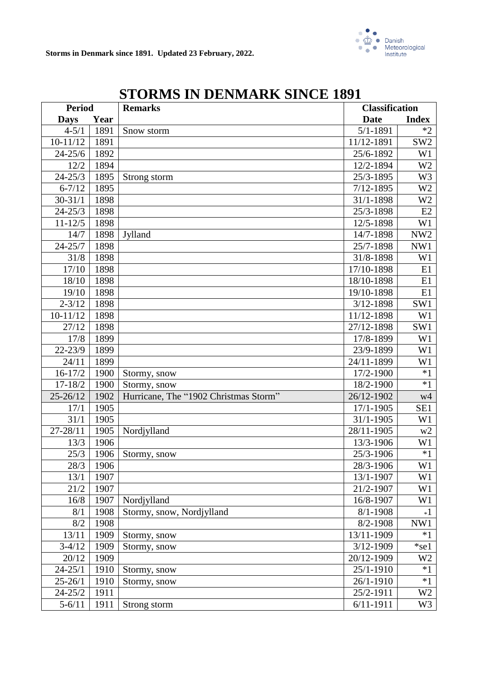

| <b>Period</b> |      | <b>Remarks</b>                        |               | <b>Classification</b> |  |
|---------------|------|---------------------------------------|---------------|-----------------------|--|
| <b>Days</b>   | Year |                                       | <b>Date</b>   | <b>Index</b>          |  |
| $4 - 5/1$     | 1891 | Snow storm                            | $5/1 - 1891$  | $*2$                  |  |
| $10-11/12$    | 1891 |                                       | 11/12-1891    | SW <sub>2</sub>       |  |
| $24 - 25/6$   | 1892 |                                       | 25/6-1892     | W1                    |  |
| 12/2          | 1894 |                                       | 12/2-1894     | W <sub>2</sub>        |  |
| $24 - 25/3$   | 1895 | Strong storm                          | 25/3-1895     | W <sub>3</sub>        |  |
| $6 - 7/12$    | 1895 |                                       | $7/12 - 1895$ | W <sub>2</sub>        |  |
| $30 - 31/1$   | 1898 |                                       | 31/1-1898     | W <sub>2</sub>        |  |
| $24 - 25/3$   | 1898 |                                       | 25/3-1898     | E2                    |  |
| $11 - 12/5$   | 1898 |                                       | 12/5-1898     | W <sub>1</sub>        |  |
| 14/7          | 1898 | Jylland                               | 14/7-1898     | NW <sub>2</sub>       |  |
| $24 - 25/7$   | 1898 |                                       | 25/7-1898     | NW1                   |  |
| 31/8          | 1898 |                                       | 31/8-1898     | W <sub>1</sub>        |  |
| 17/10         | 1898 |                                       | 17/10-1898    | E1                    |  |
| 18/10         | 1898 |                                       | 18/10-1898    | E1                    |  |
| 19/10         | 1898 |                                       | 19/10-1898    | E1                    |  |
| $2 - 3/12$    | 1898 |                                       | $3/12 - 1898$ | SW1                   |  |
| $10-11/12$    | 1898 |                                       | 11/12-1898    | W <sub>1</sub>        |  |
| 27/12         | 1898 |                                       | 27/12-1898    | SW1                   |  |
| 17/8          | 1899 |                                       | 17/8-1899     | W <sub>1</sub>        |  |
| $22 - 23/9$   | 1899 |                                       | 23/9-1899     | W <sub>1</sub>        |  |
| 24/11         | 1899 |                                       | 24/11-1899    | W <sub>1</sub>        |  |
| $16-17/2$     | 1900 | Stormy, snow                          | 17/2-1900     | $*1$                  |  |
| $17 - 18/2$   | 1900 | Stormy, snow                          | 18/2-1900     | $*1$                  |  |
| $25 - 26/12$  | 1902 | Hurricane, The "1902 Christmas Storm" | 26/12-1902    | w4                    |  |
| 17/1          | 1905 |                                       | 17/1-1905     | SE1                   |  |
| 31/1          | 1905 |                                       | 31/1-1905     | W1                    |  |
| 27-28/11      | 1905 | Nordjylland                           | 28/11-1905    | w2                    |  |
| 13/3          | 1906 |                                       | 13/3-1906     | W1                    |  |
| 25/3          | 1906 | Stormy, snow                          | 25/3-1906     | $*1$                  |  |
| 28/3          | 1906 |                                       | 28/3-1906     | $\rm W1$              |  |
| 13/1          | 1907 |                                       | 13/1-1907     | W1                    |  |
| 21/2          | 1907 |                                       | 21/2-1907     | W1                    |  |
| 16/8          | 1907 | Nordjylland                           | 16/8-1907     | W1                    |  |
| 8/1           | 1908 | Stormy, snow, Nordjylland             | $8/1 - 1908$  | $*1$                  |  |
| 8/2           | 1908 |                                       | 8/2-1908      | NW1                   |  |
| 13/11         | 1909 | Stormy, snow                          | 13/11-1909    | $*1$                  |  |
| $3-4/12$      | 1909 | Stormy, snow                          | 3/12-1909     | $*$ se $1$            |  |
| 20/12         | 1909 |                                       | 20/12-1909    | W <sub>2</sub>        |  |
| $24 - 25/1$   | 1910 | Stormy, snow                          | 25/1-1910     | $*1$                  |  |
| $25 - 26/1$   | 1910 | Stormy, snow                          | 26/1-1910     | $*1$                  |  |
| $24 - 25/2$   | 1911 |                                       | 25/2-1911     | W <sub>2</sub>        |  |
| $5 - 6/11$    | 1911 | Strong storm                          | $6/11 - 1911$ | W <sub>3</sub>        |  |

# **STORMS IN DENMARK SINCE 1891**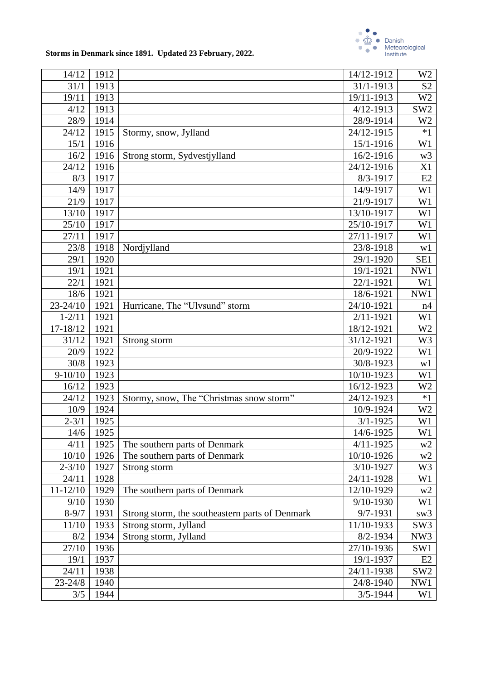

| 14/12        | 1912 |                                                 | 14/12-1912    | W <sub>2</sub>  |
|--------------|------|-------------------------------------------------|---------------|-----------------|
| 31/1         | 1913 |                                                 | 31/1-1913     | S <sub>2</sub>  |
| 19/11        | 1913 |                                                 | 19/11-1913    | W <sub>2</sub>  |
| 4/12         | 1913 |                                                 | $4/12 - 1913$ | SW <sub>2</sub> |
| 28/9         | 1914 |                                                 | 28/9-1914     | W <sub>2</sub>  |
| 24/12        | 1915 | Stormy, snow, Jylland                           | 24/12-1915    | $*1$            |
| 15/1         | 1916 |                                                 | 15/1-1916     | W1              |
| 16/2         | 1916 | Strong storm, Sydvestjylland                    | 16/2-1916     | w <sub>3</sub>  |
| 24/12        | 1916 |                                                 | 24/12-1916    | X1              |
| 8/3          | 1917 |                                                 | $8/3 - 1917$  | E2              |
| 14/9         | 1917 |                                                 | 14/9-1917     | W1              |
| 21/9         | 1917 |                                                 | 21/9-1917     | W1              |
| 13/10        | 1917 |                                                 | 13/10-1917    | W1              |
| 25/10        | 1917 |                                                 | 25/10-1917    | W1              |
| 27/11        | 1917 |                                                 | 27/11-1917    | W1              |
| 23/8         | 1918 | Nordjylland                                     | 23/8-1918     | w1              |
| 29/1         | 1920 |                                                 | 29/1-1920     | SE1             |
| 19/1         | 1921 |                                                 | 19/1-1921     | NW1             |
| 22/1         | 1921 |                                                 | 22/1-1921     | W1              |
| 18/6         | 1921 |                                                 | 18/6-1921     | NW1             |
| $23 - 24/10$ | 1921 | Hurricane, The "Ulvsund" storm                  | 24/10-1921    | n4              |
| $1 - 2/11$   | 1921 |                                                 | $2/11 - 1921$ | W1              |
| 17-18/12     | 1921 |                                                 | 18/12-1921    | W <sub>2</sub>  |
| 31/12        | 1921 | Strong storm                                    | 31/12-1921    | W3              |
| 20/9         | 1922 |                                                 | 20/9-1922     | W1              |
| 30/8         | 1923 |                                                 | 30/8-1923     | w1              |
| $9 - 10/10$  | 1923 |                                                 | 10/10-1923    | W1              |
| 16/12        | 1923 |                                                 | 16/12-1923    | W <sub>2</sub>  |
| 24/12        | 1923 | Stormy, snow, The "Christmas snow storm"        | 24/12-1923    | $*1$            |
| 10/9         | 1924 |                                                 | 10/9-1924     | W <sub>2</sub>  |
| $2 - 3/1$    | 1925 |                                                 | $3/1 - 1925$  | W1              |
| 14/6         | 1925 |                                                 | 14/6-1925     | W1              |
| 4/11         | 1925 | The southern parts of Denmark                   | $4/11 - 1925$ | w2              |
| 10/10        | 1926 | The southern parts of Denmark                   | 10/10-1926    | w2              |
| $2 - 3/10$   | 1927 | Strong storm                                    | 3/10-1927     | W <sub>3</sub>  |
| 24/11        | 1928 |                                                 | 24/11-1928    | W <sub>1</sub>  |
| $11 - 12/10$ | 1929 | The southern parts of Denmark                   | 12/10-1929    | w2              |
| 9/10         | 1930 |                                                 | 9/10-1930     | W1              |
| $8 - 9/7$    | 1931 | Strong storm, the southeastern parts of Denmark | 9/7-1931      | sw <sub>3</sub> |
| 11/10        | 1933 | Strong storm, Jylland                           | 11/10-1933    | SW <sub>3</sub> |
| 8/2          | 1934 | Strong storm, Jylland                           | 8/2-1934      | NW3             |
| 27/10        | 1936 |                                                 | 27/10-1936    | SW1             |
| 19/1         | 1937 |                                                 | 19/1-1937     | E2              |
| 24/11        | 1938 |                                                 | 24/11-1938    | SW <sub>2</sub> |
| $23 - 24/8$  | 1940 |                                                 | 24/8-1940     | NW1             |
| 3/5          | 1944 |                                                 | $3/5 - 1944$  | W <sub>1</sub>  |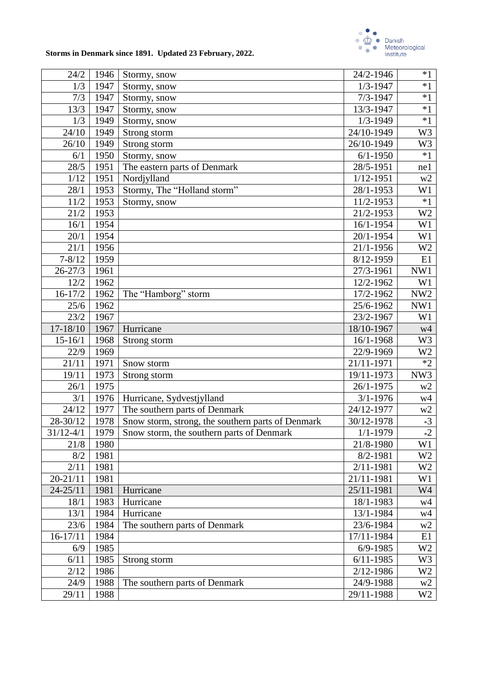

| 24/2          | 1946 | Stormy, snow                                      | 24/2-1946                | $*1$            |  |  |
|---------------|------|---------------------------------------------------|--------------------------|-----------------|--|--|
| 1/3           | 1947 | Stormy, snow                                      | $1/3 - 1947$             | $*1$            |  |  |
| 7/3           | 1947 | Stormy, snow                                      | $7/3 - 1947$             | $*1$            |  |  |
| 13/3          | 1947 | Stormy, snow                                      | 13/3-1947                | $*1$            |  |  |
| 1/3           | 1949 | Stormy, snow                                      | $1/3 - 1949$             | $*1$            |  |  |
| 24/10         | 1949 | Strong storm                                      | 24/10-1949               | W3              |  |  |
| 26/10         | 1949 | Strong storm                                      | 26/10-1949               | W3              |  |  |
| 6/1           | 1950 | Stormy, snow                                      | $6/1 - 1950$             | $*1$            |  |  |
| 28/5          | 1951 | The eastern parts of Denmark                      | 28/5-1951                | ne1             |  |  |
| 1/12          | 1951 | Nordjylland                                       | $1/12 - 1951$            | w2              |  |  |
| 28/1          | 1953 | Stormy, The "Holland storm"                       | 28/1-1953                | W1              |  |  |
| 11/2          | 1953 | Stormy, snow                                      | 11/2-1953                | $*1$            |  |  |
| 21/2          | 1953 |                                                   | 21/2-1953                | W <sub>2</sub>  |  |  |
| 16/1          | 1954 |                                                   | 16/1-1954                | W1              |  |  |
| 20/1          | 1954 |                                                   | 20/1-1954                | W1              |  |  |
| 21/1          | 1956 |                                                   | 21/1-1956                | W <sub>2</sub>  |  |  |
| $7 - 8/12$    | 1959 |                                                   | 8/12-1959                | E1              |  |  |
| $26 - 27/3$   | 1961 |                                                   | 27/3-1961                | NW1             |  |  |
| 12/2          | 1962 |                                                   | 12/2-1962                | W1              |  |  |
| $16 - 17/2$   | 1962 | The "Hamborg" storm                               | 17/2-1962                | NW <sub>2</sub> |  |  |
| 25/6          | 1962 |                                                   | 25/6-1962                | NW1             |  |  |
| 23/2          | 1967 |                                                   | 23/2-1967                | W1              |  |  |
| 17-18/10      | 1967 | Hurricane                                         | 18/10-1967               | w4              |  |  |
| $15 - 16/1$   | 1968 | Strong storm                                      | 16/1-1968                | W <sub>3</sub>  |  |  |
| 22/9          | 1969 |                                                   | 22/9-1969                | W <sub>2</sub>  |  |  |
| 21/11         | 1971 | Snow storm                                        | 21/11-1971               | $*2$            |  |  |
| 19/11         | 1973 | Strong storm                                      | 19/11-1973               | NW3             |  |  |
| 26/1          | 1975 |                                                   | $\overline{26}/1 - 1975$ | w2              |  |  |
| 3/1           | 1976 | Hurricane, Sydvestjylland                         | $3/1 - 1976$             | w4              |  |  |
| 24/12         | 1977 | The southern parts of Denmark                     | 24/12-1977               | w2              |  |  |
| 28-30/12      | 1978 | Snow storm, strong, the southern parts of Denmark | 30/12-1978               | $*3$            |  |  |
| $31/12 - 4/1$ | 1979 | Snow storm, the southern parts of Denmark         | $1/1 - 1979$             | $*2$            |  |  |
| 21/8          | 1980 |                                                   | 21/8-1980                | W1              |  |  |
| 8/2           | 1981 |                                                   | 8/2-1981                 | W <sub>2</sub>  |  |  |
| 2/11          | 1981 |                                                   | 2/11-1981                | W <sub>2</sub>  |  |  |
| $20 - 21/11$  | 1981 |                                                   | 21/11-1981               | W1              |  |  |
| $24 - 25/11$  | 1981 | Hurricane                                         | 25/11-1981               | W4              |  |  |
| 18/1          | 1983 | Hurricane                                         | 18/1-1983                | w4              |  |  |
| 13/1          | 1984 | Hurricane                                         | 13/1-1984                | w4              |  |  |
| 23/6          | 1984 | The southern parts of Denmark                     | 23/6-1984                | w2              |  |  |
| $16-17/11$    | 1984 |                                                   | 17/11-1984               | E1              |  |  |
| 6/9           | 1985 |                                                   | $6/9 - 1985$             | W <sub>2</sub>  |  |  |
| 6/11          | 1985 | Strong storm                                      | $6/11 - 1985$            | W <sub>3</sub>  |  |  |
| 2/12          | 1986 | 2/12-1986                                         |                          |                 |  |  |
| 24/9          | 1988 | The southern parts of Denmark<br>24/9-1988        |                          |                 |  |  |
| 29/11         | 1988 |                                                   | 29/11-1988               | w2<br>W2        |  |  |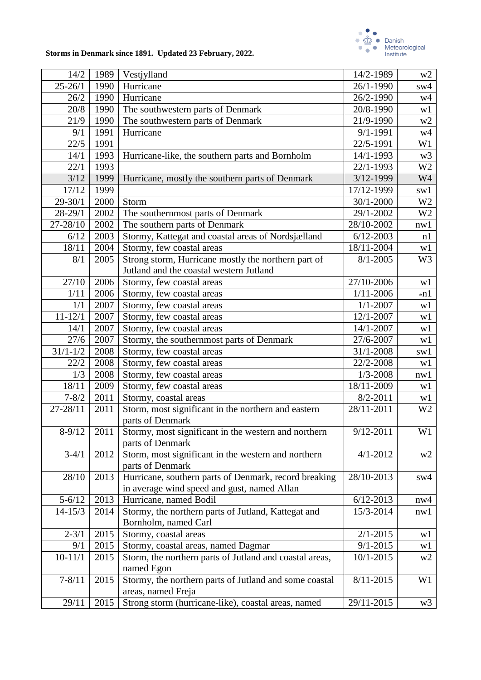

| 14/2         | 1989 | Vestjylland                                                          | 14/2-1989     | w2             |  |  |
|--------------|------|----------------------------------------------------------------------|---------------|----------------|--|--|
| $25 - 26/1$  | 1990 | Hurricane                                                            | 26/1-1990     | sw4            |  |  |
| 26/2         | 1990 | Hurricane                                                            | 26/2-1990     | w4             |  |  |
| 20/8         | 1990 | The southwestern parts of Denmark                                    | 20/8-1990     | w1             |  |  |
| 21/9         | 1990 | The southwestern parts of Denmark<br>21/9-1990                       |               |                |  |  |
| 9/1          | 1991 | Hurricane<br>$9/1 - 1991$                                            |               |                |  |  |
| 22/5         | 1991 |                                                                      | 22/5-1991     | W1             |  |  |
| 14/1         | 1993 | Hurricane-like, the southern parts and Bornholm                      | 14/1-1993     | w <sub>3</sub> |  |  |
| 22/1         | 1993 |                                                                      | 22/1-1993     | W <sub>2</sub> |  |  |
| 3/12         | 1999 | Hurricane, mostly the southern parts of Denmark                      | 3/12-1999     | W4             |  |  |
| 17/12        | 1999 |                                                                      | 17/12-1999    | sw1            |  |  |
| $29 - 30/1$  | 2000 | Storm                                                                | 30/1-2000     | W <sub>2</sub> |  |  |
| $28 - 29/1$  | 2002 | The southernmost parts of Denmark                                    | 29/1-2002     | W <sub>2</sub> |  |  |
| 27-28/10     | 2002 | The southern parts of Denmark                                        | 28/10-2002    | nw1            |  |  |
| 6/12         | 2003 | Stormy, Kattegat and coastal areas of Nordsjælland                   | $6/12 - 2003$ | n1             |  |  |
| 18/11        | 2004 | Stormy, few coastal areas                                            | 18/11-2004    | w1             |  |  |
| 8/1          | 2005 | Strong storm, Hurricane mostly the northern part of                  | $8/1 - 2005$  | W <sub>3</sub> |  |  |
|              |      | Jutland and the coastal western Jutland                              |               |                |  |  |
| 27/10        | 2006 | Stormy, few coastal areas                                            | 27/10-2006    | w1             |  |  |
| 1/11         | 2006 | Stormy, few coastal areas                                            | $1/11 - 2006$ | *n1            |  |  |
| 1/1          | 2007 | Stormy, few coastal areas                                            | $1/1 - 2007$  | w1             |  |  |
| $11 - 12/1$  | 2007 | Stormy, few coastal areas                                            | 12/1-2007     | w1             |  |  |
| 14/1         | 2007 | Stormy, few coastal areas                                            | 14/1-2007     | w1             |  |  |
| 27/6         | 2007 | Stormy, the southernmost parts of Denmark                            | 27/6-2007     | w1             |  |  |
| $31/1 - 1/2$ | 2008 | Stormy, few coastal areas                                            | 31/1-2008     | sw1            |  |  |
| 22/2         | 2008 | Stormy, few coastal areas                                            | 22/2-2008     | w1             |  |  |
| 1/3          | 2008 | Stormy, few coastal areas                                            | $1/3 - 2008$  | nw1            |  |  |
| 18/11        | 2009 | Stormy, few coastal areas                                            | 18/11-2009    | w1             |  |  |
| $7 - 8/2$    | 2011 | Stormy, coastal areas                                                | $8/2 - 2011$  | w1             |  |  |
| 27-28/11     | 2011 | Storm, most significant in the northern and eastern                  | 28/11-2011    | W <sub>2</sub> |  |  |
|              |      | parts of Denmark                                                     |               |                |  |  |
| $8-9/12$     | 2011 | Stormy, most significant in the western and northern                 | $9/12 - 2011$ | W1             |  |  |
|              |      | parts of Denmark                                                     |               |                |  |  |
| $3-4/1$      | 2012 | Storm, most significant in the western and northern                  | $4/1 - 2012$  | w2             |  |  |
|              |      | parts of Denmark                                                     |               |                |  |  |
| 28/10        | 2013 | Hurricane, southern parts of Denmark, record breaking                | 28/10-2013    | sw4            |  |  |
|              |      | in average wind speed and gust, named Allan                          |               |                |  |  |
| $5 - 6/12$   | 2013 | Hurricane, named Bodil                                               | $6/12 - 2013$ | nw4            |  |  |
| $14 - 15/3$  | 2014 | Stormy, the northern parts of Jutland, Kattegat and                  | 15/3-2014     | nw1            |  |  |
|              |      | Bornholm, named Carl                                                 |               |                |  |  |
| $2 - 3/1$    | 2015 | Stormy, coastal areas                                                | $2/1 - 2015$  | w1             |  |  |
| 9/1          | 2015 | Stormy, coastal areas, named Dagmar                                  | $9/1 - 2015$  | w1             |  |  |
| $10 - 11/1$  | 2015 | Storm, the northern parts of Jutland and coastal areas,<br>10/1-2015 |               |                |  |  |
|              |      | named Egon                                                           |               | w <sub>2</sub> |  |  |
| $7 - 8/11$   | 2015 | Stormy, the northern parts of Jutland and some coastal<br>8/11-2015  |               | W1             |  |  |
|              |      | areas, named Freja                                                   |               |                |  |  |
| 29/11        | 2015 | Strong storm (hurricane-like), coastal areas, named                  | 29/11-2015    | w <sub>3</sub> |  |  |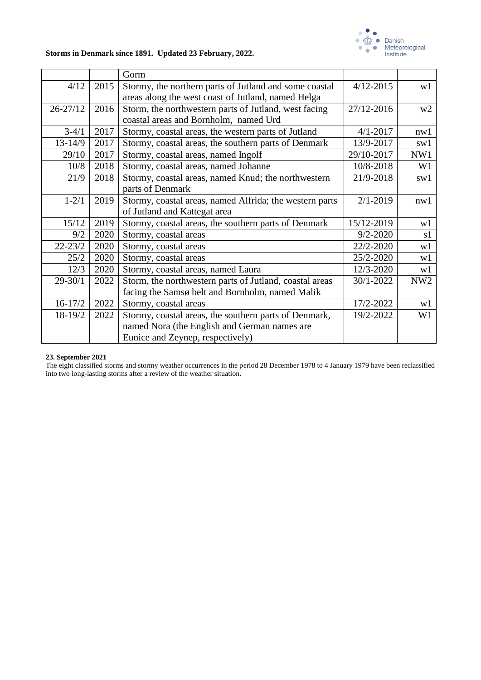

|              |      | Gorm                                                    |               |                 |
|--------------|------|---------------------------------------------------------|---------------|-----------------|
| 4/12         | 2015 | Stormy, the northern parts of Jutland and some coastal  | $4/12 - 2015$ | w1              |
|              |      | areas along the west coast of Jutland, named Helga      |               |                 |
| $26 - 27/12$ | 2016 | Storm, the northwestern parts of Jutland, west facing   | 27/12-2016    | w <sub>2</sub>  |
|              |      | coastal areas and Bornholm, named Urd                   |               |                 |
| $3-4/1$      | 2017 | Stormy, coastal areas, the western parts of Jutland     | $4/1 - 2017$  | nw1             |
| $13 - 14/9$  | 2017 | Stormy, coastal areas, the southern parts of Denmark    | 13/9-2017     | sw1             |
| 29/10        | 2017 | Stormy, coastal areas, named Ingolf                     | 29/10-2017    | NW1             |
| 10/8         | 2018 | Stormy, coastal areas, named Johanne                    | 10/8-2018     | W <sub>1</sub>  |
| 21/9         | 2018 | Stormy, coastal areas, named Knud; the northwestern     | 21/9-2018     | sw1             |
|              |      | parts of Denmark                                        |               |                 |
| $1 - 2/1$    | 2019 | Stormy, coastal areas, named Alfrida; the western parts | $2/1 - 2019$  | nw1             |
|              |      | of Jutland and Kattegat area                            |               |                 |
| 15/12        | 2019 | Stormy, coastal areas, the southern parts of Denmark    | 15/12-2019    | w1              |
| 9/2          | 2020 | Stormy, coastal areas                                   | $9/2 - 2020$  | s1              |
| $22 - 23/2$  | 2020 | Stormy, coastal areas                                   | 22/2-2020     | w1              |
| 25/2         | 2020 | Stormy, coastal areas                                   | 25/2-2020     | w1              |
| 12/3         | 2020 | Stormy, coastal areas, named Laura                      | 12/3-2020     | w1              |
| $29 - 30/1$  | 2022 | Storm, the northwestern parts of Jutland, coastal areas | 30/1-2022     | NW <sub>2</sub> |
|              |      | facing the Samsø belt and Bornholm, named Malik         |               |                 |
| $16-17/2$    | 2022 | Stormy, coastal areas                                   | 17/2-2022     | w1              |
| 18-19/2      | 2022 | Stormy, coastal areas, the southern parts of Denmark,   | 19/2-2022     | W1              |
|              |      | named Nora (the English and German names are            |               |                 |
|              |      | Eunice and Zeynep, respectively)                        |               |                 |

#### **23. September 2021**

The eight classified storms and stormy weather occurrences in the period 28 December 1978 to 4 January 1979 have been reclassified into two long-lasting storms after a review of the weather situation.